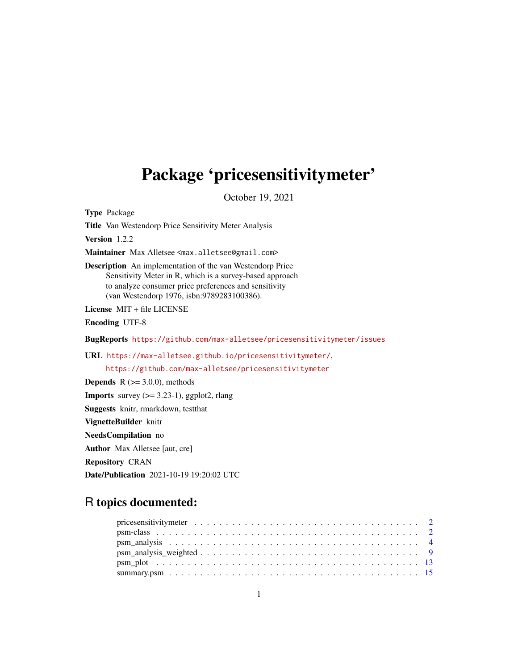# <span id="page-0-0"></span>Package 'pricesensitivitymeter'

October 19, 2021

Type Package

Title Van Westendorp Price Sensitivity Meter Analysis

Version 1.2.2

Maintainer Max Alletsee <max.alletsee@gmail.com>

Description An implementation of the van Westendorp Price Sensitivity Meter in R, which is a survey-based approach to analyze consumer price preferences and sensitivity (van Westendorp 1976, isbn:9789283100386).

License MIT + file LICENSE

Encoding UTF-8

BugReports <https://github.com/max-alletsee/pricesensitivitymeter/issues>

URL <https://max-alletsee.github.io/pricesensitivitymeter/>,

<https://github.com/max-alletsee/pricesensitivitymeter>

**Depends** R  $(>= 3.0.0)$ , methods

**Imports** survey  $(>= 3.23-1)$ , ggplot2, rlang

Suggests knitr, rmarkdown, testthat

VignetteBuilder knitr

NeedsCompilation no

Author Max Alletsee [aut, cre]

Repository CRAN

Date/Publication 2021-10-19 19:20:02 UTC

# R topics documented: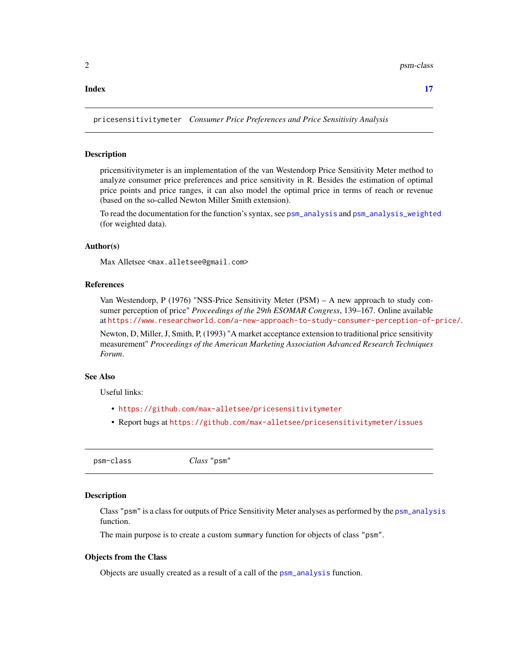#### <span id="page-1-0"></span>**Index** [17](#page-16-0)

pricesensitivitymeter *Consumer Price Preferences and Price Sensitivity Analysis*

#### Description

pricensitivitymeter is an implementation of the van Westendorp Price Sensitivity Meter method to analyze consumer price preferences and price sensitivity in R. Besides the estimation of optimal price points and price ranges, it can also model the optimal price in terms of reach or revenue (based on the so-called Newton Miller Smith extension).

To read the documentation for the function's syntax, see [psm\\_analysis](#page-3-1) and [psm\\_analysis\\_weighted](#page-8-1) (for weighted data).

# Author(s)

Max Alletsee <max.alletsee@gmail.com>

#### References

Van Westendorp, P (1976) "NSS-Price Sensitivity Meter (PSM) – A new approach to study consumer perception of price" *Proceedings of the 29th ESOMAR Congress*, 139–167. Online available at <https://www.researchworld.com/a-new-approach-to-study-consumer-perception-of-price/>.

Newton, D, Miller, J, Smith, P, (1993) "A market acceptance extension to traditional price sensitivity measurement" *Proceedings of the American Marketing Association Advanced Research Techniques Forum*.

# See Also

Useful links:

- <https://github.com/max-alletsee/pricesensitivitymeter>
- Report bugs at <https://github.com/max-alletsee/pricesensitivitymeter/issues>

psm-class *Class* "psm"

#### **Description**

Class "psm" is a class for outputs of Price Sensitivity Meter analyses as performed by the [psm\\_analysis](#page-3-1) function.

The main purpose is to create a custom summary function for objects of class "psm".

#### Objects from the Class

Objects are usually created as a result of a call of the [psm\\_analysis](#page-3-1) function.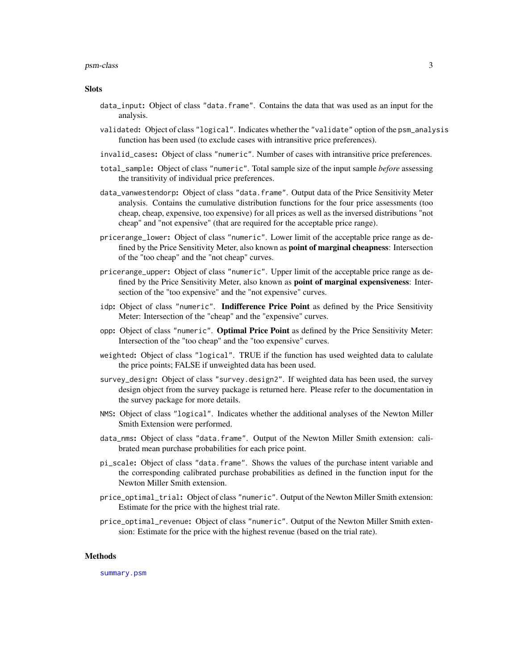#### <span id="page-2-0"></span>psm-class 3

#### **Slots**

- data\_input: Object of class "data.frame". Contains the data that was used as an input for the analysis.
- validated: Object of class "logical". Indicates whether the "validate" option of the psm\_analysis function has been used (to exclude cases with intransitive price preferences).
- invalid\_cases: Object of class "numeric". Number of cases with intransitive price preferences.
- total\_sample: Object of class "numeric". Total sample size of the input sample *before* assessing the transitivity of individual price preferences.
- data\_vanwestendorp: Object of class "data.frame". Output data of the Price Sensitivity Meter analysis. Contains the cumulative distribution functions for the four price assessments (too cheap, cheap, expensive, too expensive) for all prices as well as the inversed distributions "not cheap" and "not expensive" (that are required for the acceptable price range).
- pricerange\_lower: Object of class "numeric". Lower limit of the acceptable price range as defined by the Price Sensitivity Meter, also known as **point of marginal cheapness**: Intersection of the "too cheap" and the "not cheap" curves.
- pricerange\_upper: Object of class "numeric". Upper limit of the acceptable price range as defined by the Price Sensitivity Meter, also known as **point of marginal expensiveness**: Intersection of the "too expensive" and the "not expensive" curves.
- idp: Object of class "numeric". Indifference Price Point as defined by the Price Sensitivity Meter: Intersection of the "cheap" and the "expensive" curves.
- opp: Object of class "numeric". Optimal Price Point as defined by the Price Sensitivity Meter: Intersection of the "too cheap" and the "too expensive" curves.
- weighted: Object of class "logical". TRUE if the function has used weighted data to calulate the price points; FALSE if unweighted data has been used.
- survey\_design: Object of class "survey.design2". If weighted data has been used, the survey design object from the survey package is returned here. Please refer to the documentation in the survey package for more details.
- NMS: Object of class "logical". Indicates whether the additional analyses of the Newton Miller Smith Extension were performed.
- data\_nms: Object of class "data.frame". Output of the Newton Miller Smith extension: calibrated mean purchase probabilities for each price point.
- pi\_scale: Object of class "data.frame". Shows the values of the purchase intent variable and the corresponding calibrated purchase probabilities as defined in the function input for the Newton Miller Smith extension.
- price\_optimal\_trial: Object of class "numeric". Output of the Newton Miller Smith extension: Estimate for the price with the highest trial rate.
- price\_optimal\_revenue: Object of class "numeric". Output of the Newton Miller Smith extension: Estimate for the price with the highest revenue (based on the trial rate).

#### Methods

[summary.psm](#page-14-1)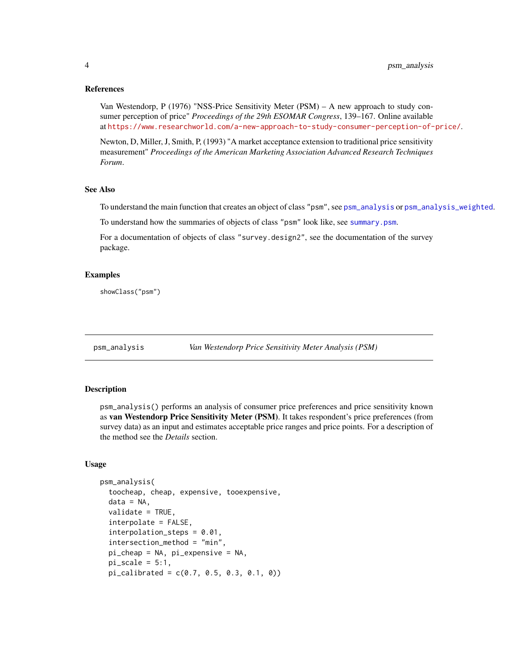<span id="page-3-0"></span>Van Westendorp, P (1976) "NSS-Price Sensitivity Meter (PSM) – A new approach to study consumer perception of price" *Proceedings of the 29th ESOMAR Congress*, 139–167. Online available at <https://www.researchworld.com/a-new-approach-to-study-consumer-perception-of-price/>.

Newton, D, Miller, J, Smith, P, (1993) "A market acceptance extension to traditional price sensitivity measurement" *Proceedings of the American Marketing Association Advanced Research Techniques Forum*.

#### See Also

To understand the main function that creates an object of class "psm", see [psm\\_analysis](#page-3-1) or [psm\\_analysis\\_weighted](#page-8-1).

To understand how the summaries of objects of class "psm" look like, see [summary.psm](#page-14-1).

For a documentation of objects of class "survey.design2", see the documentation of the survey package.

#### Examples

showClass("psm")

<span id="page-3-1"></span>

psm\_analysis *Van Westendorp Price Sensitivity Meter Analysis (PSM)*

#### Description

psm\_analysis() performs an analysis of consumer price preferences and price sensitivity known as van Westendorp Price Sensitivity Meter (PSM). It takes respondent's price preferences (from survey data) as an input and estimates acceptable price ranges and price points. For a description of the method see the *Details* section.

#### Usage

```
psm_analysis(
  toocheap, cheap, expensive, tooexpensive,
  data = NA,
  validate = TRUE,
  interpolate = FALSE,
  interpolation_steps = 0.01,
  intersection_method = "min",
  pi_cheap = NA, pi_expensive = NA,
  pi\_scale = 5:1,
  pi_{calibrated} = c(0.7, 0.5, 0.3, 0.1, 0)
```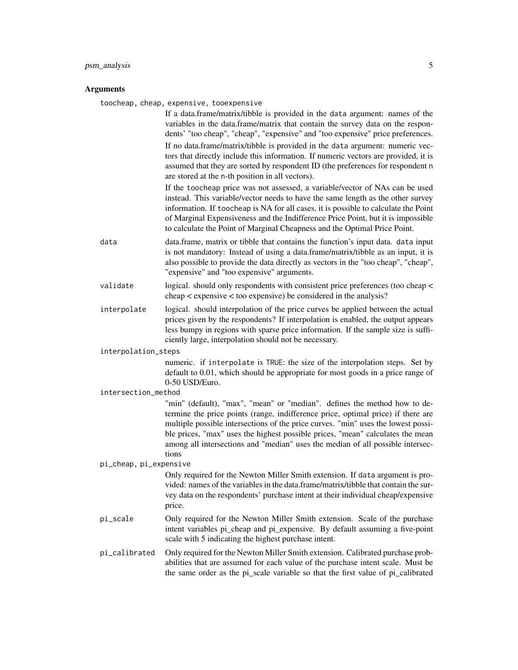#### psm\_analysis 5

#### Arguments

toocheap, cheap, expensive, tooexpensive

If a data.frame/matrix/tibble is provided in the data argument: names of the variables in the data.frame/matrix that contain the survey data on the respondents' "too cheap", "cheap", "expensive" and "too expensive" price preferences. If no data.frame/matrix/tibble is provided in the data argument: numeric vectors that directly include this information. If numeric vectors are provided, it is assumed that they are sorted by respondent ID (the preferences for respondent n are stored at the n-th position in all vectors).

If the toocheap price was not assessed, a variable/vector of NAs can be used instead. This variable/vector needs to have the same length as the other survey information. If toocheap is NA for all cases, it is possible to calculate the Point of Marginal Expensiveness and the Indifference Price Point, but it is impossible to calculate the Point of Marginal Cheapness and the Optimal Price Point.

- data data.frame, matrix or tibble that contains the function's input data. data input is not mandatory: Instead of using a data.frame/matrix/tibble as an input, it is also possible to provide the data directly as vectors in the "too cheap", "cheap", "expensive" and "too expensive" arguments.
- validate logical. should only respondents with consistent price preferences (too cheap < cheap < expensive < too expensive) be considered in the analysis?
- interpolate logical. should interpolation of the price curves be applied between the actual prices given by the respondents? If interpolation is enabled, the output appears less bumpy in regions with sparse price information. If the sample size is sufficiently large, interpolation should not be necessary.

interpolation\_steps

numeric. if interpolate is TRUE: the size of the interpolation steps. Set by default to 0.01, which should be appropriate for most goods in a price range of 0-50 USD/Euro.

#### intersection\_method

"min" (default), "max", "mean" or "median". defines the method how to determine the price points (range, indifference price, optimal price) if there are multiple possible intersections of the price curves. "min" uses the lowest possible prices, "max" uses the highest possible prices, "mean" calculates the mean among all intersections and "median" uses the median of all possible intersections

#### pi\_cheap, pi\_expensive

Only required for the Newton Miller Smith extension. If data argument is provided: names of the variables in the data.frame/matrix/tibble that contain the survey data on the respondents' purchase intent at their individual cheap/expensive price.

- pi\_scale Only required for the Newton Miller Smith extension. Scale of the purchase intent variables pi cheap and pi expensive. By default assuming a five-point scale with 5 indicating the highest purchase intent.
- pi\_calibrated Only required for the Newton Miller Smith extension. Calibrated purchase probabilities that are assumed for each value of the purchase intent scale. Must be the same order as the pi\_scale variable so that the first value of pi\_calibrated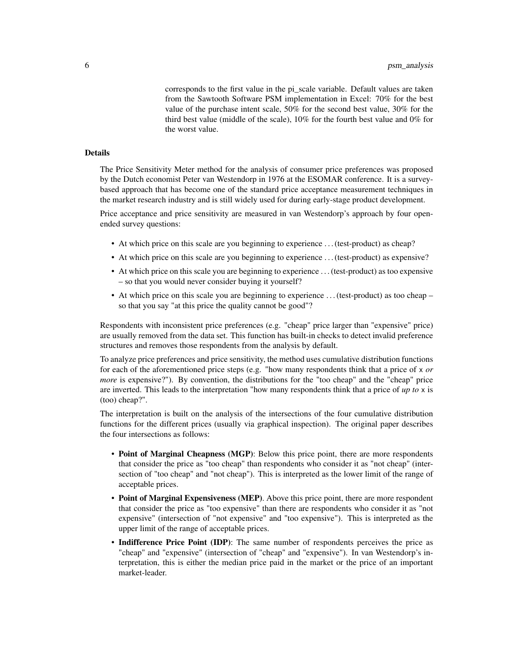corresponds to the first value in the pi\_scale variable. Default values are taken from the Sawtooth Software PSM implementation in Excel: 70% for the best value of the purchase intent scale, 50% for the second best value, 30% for the third best value (middle of the scale), 10% for the fourth best value and 0% for the worst value.

# Details

The Price Sensitivity Meter method for the analysis of consumer price preferences was proposed by the Dutch economist Peter van Westendorp in 1976 at the ESOMAR conference. It is a surveybased approach that has become one of the standard price acceptance measurement techniques in the market research industry and is still widely used for during early-stage product development.

Price acceptance and price sensitivity are measured in van Westendorp's approach by four openended survey questions:

- At which price on this scale are you beginning to experience . . . (test-product) as cheap?
- At which price on this scale are you beginning to experience . . . (test-product) as expensive?
- At which price on this scale you are beginning to experience . . . (test-product) as too expensive – so that you would never consider buying it yourself?
- At which price on this scale you are beginning to experience ... (test-product) as too cheap so that you say "at this price the quality cannot be good"?

Respondents with inconsistent price preferences (e.g. "cheap" price larger than "expensive" price) are usually removed from the data set. This function has built-in checks to detect invalid preference structures and removes those respondents from the analysis by default.

To analyze price preferences and price sensitivity, the method uses cumulative distribution functions for each of the aforementioned price steps (e.g. "how many respondents think that a price of x *or more* is expensive?"). By convention, the distributions for the "too cheap" and the "cheap" price are inverted. This leads to the interpretation "how many respondents think that a price of *up to* x is (too) cheap?".

The interpretation is built on the analysis of the intersections of the four cumulative distribution functions for the different prices (usually via graphical inspection). The original paper describes the four intersections as follows:

- Point of Marginal Cheapness (MGP): Below this price point, there are more respondents that consider the price as "too cheap" than respondents who consider it as "not cheap" (intersection of "too cheap" and "not cheap"). This is interpreted as the lower limit of the range of acceptable prices.
- Point of Marginal Expensiveness (MEP). Above this price point, there are more respondent that consider the price as "too expensive" than there are respondents who consider it as "not expensive" (intersection of "not expensive" and "too expensive"). This is interpreted as the upper limit of the range of acceptable prices.
- Indifference Price Point (IDP): The same number of respondents perceives the price as "cheap" and "expensive" (intersection of "cheap" and "expensive"). In van Westendorp's interpretation, this is either the median price paid in the market or the price of an important market-leader.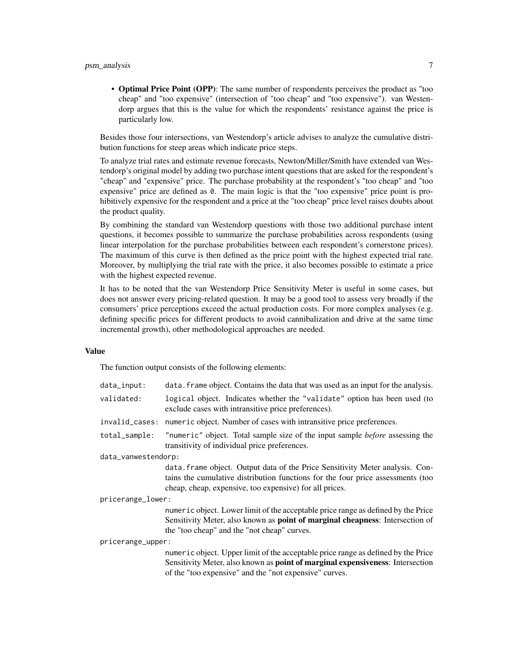• Optimal Price Point (OPP): The same number of respondents perceives the product as "too cheap" and "too expensive" (intersection of "too cheap" and "too expensive"). van Westendorp argues that this is the value for which the respondents' resistance against the price is particularly low.

Besides those four intersections, van Westendorp's article advises to analyze the cumulative distribution functions for steep areas which indicate price steps.

To analyze trial rates and estimate revenue forecasts, Newton/Miller/Smith have extended van Westendorp's original model by adding two purchase intent questions that are asked for the respondent's "cheap" and "expensive" price. The purchase probability at the respondent's "too cheap" and "too expensive" price are defined as 0. The main logic is that the "too expensive" price point is prohibitively expensive for the respondent and a price at the "too cheap" price level raises doubts about the product quality.

By combining the standard van Westendorp questions with those two additional purchase intent questions, it becomes possible to summarize the purchase probabilities across respondents (using linear interpolation for the purchase probabilities between each respondent's cornerstone prices). The maximum of this curve is then defined as the price point with the highest expected trial rate. Moreover, by multiplying the trial rate with the price, it also becomes possible to estimate a price with the highest expected revenue.

It has to be noted that the van Westendorp Price Sensitivity Meter is useful in some cases, but does not answer every pricing-related question. It may be a good tool to assess very broadly if the consumers' price perceptions exceed the actual production costs. For more complex analyses (e.g. defining specific prices for different products to avoid cannibalization and drive at the same time incremental growth), other methodological approaches are needed.

#### Value

The function output consists of the following elements:

| data_input:         | data. frame object. Contains the data that was used as an input for the analysis.                                                                                                                                                     |
|---------------------|---------------------------------------------------------------------------------------------------------------------------------------------------------------------------------------------------------------------------------------|
| validated:          | logical object. Indicates whether the "validate" option has been used (to<br>exclude cases with intransitive price preferences).                                                                                                      |
| invalid_cases:      | numeric object. Number of cases with intransitive price preferences.                                                                                                                                                                  |
| total_sample:       | "numeric" object. Total sample size of the input sample <i>before</i> assessing the<br>transitivity of individual price preferences.                                                                                                  |
| data_vanwestendorp: |                                                                                                                                                                                                                                       |
|                     | data. frame object. Output data of the Price Sensitivity Meter analysis. Con-<br>tains the cumulative distribution functions for the four price assessments (too<br>cheap, cheap, expensive, too expensive) for all prices.           |
| pricerange_lower:   |                                                                                                                                                                                                                                       |
|                     | numeric object. Lower limit of the acceptable price range as defined by the Price<br>Sensitivity Meter, also known as <b>point of marginal cheapness</b> : Intersection of<br>the "too cheap" and the "not cheap" curves.             |
| pricerange_upper:   |                                                                                                                                                                                                                                       |
|                     | numeric object. Upper limit of the acceptable price range as defined by the Price<br>Sensitivity Meter, also known as <b>point of marginal expensiveness</b> : Intersection<br>of the "too expensive" and the "not expensive" curves. |
|                     |                                                                                                                                                                                                                                       |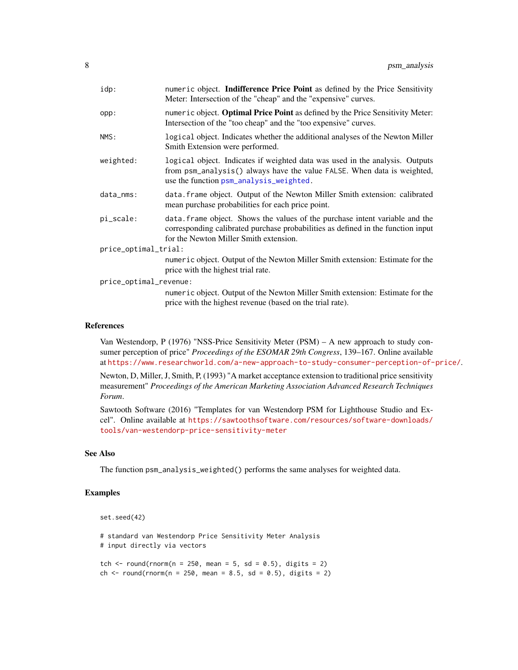<span id="page-7-0"></span>

| idp:                   | numeric object. Indifference Price Point as defined by the Price Sensitivity<br>Meter: Intersection of the "cheap" and the "expensive" curves.                                                             |
|------------------------|------------------------------------------------------------------------------------------------------------------------------------------------------------------------------------------------------------|
| opp:                   | numeric object. <b>Optimal Price Point</b> as defined by the Price Sensitivity Meter:<br>Intersection of the "too cheap" and the "too expensive" curves.                                                   |
| NMS:                   | logical object. Indicates whether the additional analyses of the Newton Miller<br>Smith Extension were performed.                                                                                          |
| weighted:              | logical object. Indicates if weighted data was used in the analysis. Outputs<br>from psm_analysis() always have the value FALSE. When data is weighted,<br>use the function psm_analysis_weighted.         |
| $data_{\text{mm}}$ :   | data. frame object. Output of the Newton Miller Smith extension: calibrated<br>mean purchase probabilities for each price point.                                                                           |
| pi_scale:              | data. frame object. Shows the values of the purchase intent variable and the<br>corresponding calibrated purchase probabilities as defined in the function input<br>for the Newton Miller Smith extension. |
| price_optimal_trial:   |                                                                                                                                                                                                            |
|                        | numeric object. Output of the Newton Miller Smith extension: Estimate for the<br>price with the highest trial rate.                                                                                        |
| price_optimal_revenue: |                                                                                                                                                                                                            |
|                        | numeric object. Output of the Newton Miller Smith extension: Estimate for the<br>price with the highest revenue (based on the trial rate).                                                                 |

Van Westendorp, P (1976) "NSS-Price Sensitivity Meter (PSM) – A new approach to study consumer perception of price" *Proceedings of the ESOMAR 29th Congress*, 139–167. Online available at <https://www.researchworld.com/a-new-approach-to-study-consumer-perception-of-price/>.

Newton, D, Miller, J, Smith, P, (1993) "A market acceptance extension to traditional price sensitivity measurement" *Proceedings of the American Marketing Association Advanced Research Techniques Forum*.

Sawtooth Software (2016) "Templates for van Westendorp PSM for Lighthouse Studio and Excel". Online available at [https://sawtoothsoftware.com/resources/software-downloads/](https://sawtoothsoftware.com/resources/software-downloads/tools/van-westendorp-price-sensitivity-meter) [tools/van-westendorp-price-sensitivity-meter](https://sawtoothsoftware.com/resources/software-downloads/tools/van-westendorp-price-sensitivity-meter)

#### See Also

The function psm\_analysis\_weighted() performs the same analyses for weighted data.

# Examples

```
set.seed(42)
```
# standard van Westendorp Price Sensitivity Meter Analysis # input directly via vectors

tch  $\le$  round(rnorm(n = 250, mean = 5, sd = 0.5), digits = 2) ch <- round(rnorm(n = 250, mean = 8.5, sd = 0.5), digits = 2)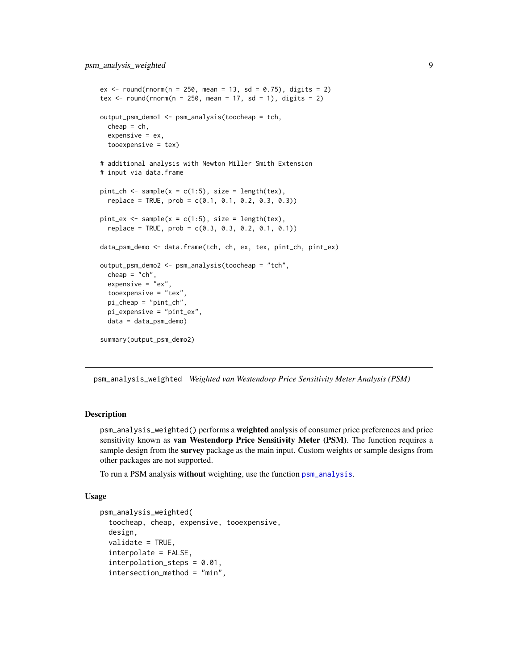```
ex \le round(rnorm(n = 250, mean = 13, sd = 0.75), digits = 2)
tex \le round(rnorm(n = 250, mean = 17, sd = 1), digits = 2)
output_psm_demo1 <- psm_analysis(toocheap = tch,
  cheap = ch,expensive = ex,
  tooexpensive = tex)
# additional analysis with Newton Miller Smith Extension
# input via data.frame
pint_{ch} < - sample(x = c(1:5), size = length(tex),
  replace = TRUE, prob = c(0.1, 0.1, 0.2, 0.3, 0.3)pint_ex <- sample(x = c(1:5), size = length(tex),
  replace = TRUE, prob = c(0.3, 0.3, 0.2, 0.1, 0.1))data_psm_demo <- data.frame(tch, ch, ex, tex, pint_ch, pint_ex)
output_psm_demo2 <- psm_analysis(toocheap = "tch",
  cheap = "ch",expensive = "ex".
  tooexpensive = "tex",
  pi_cheap = "pint_ch",
  pi_expensive = "pint_ex",
  data = data_psm_demo)
summary(output_psm_demo2)
```
<span id="page-8-1"></span>psm\_analysis\_weighted *Weighted van Westendorp Price Sensitivity Meter Analysis (PSM)*

#### **Description**

psm\_analysis\_weighted() performs a weighted analysis of consumer price preferences and price sensitivity known as van Westendorp Price Sensitivity Meter (PSM). The function requires a sample design from the survey package as the main input. Custom weights or sample designs from other packages are not supported.

To run a PSM analysis without weighting, use the function [psm\\_analysis](#page-3-1).

#### Usage

```
psm_analysis_weighted(
  toocheap, cheap, expensive, tooexpensive,
  design,
  validate = TRUE,
  interpolate = FALSE,
  interpolation_steps = 0.01,
  intersection_method = "min",
```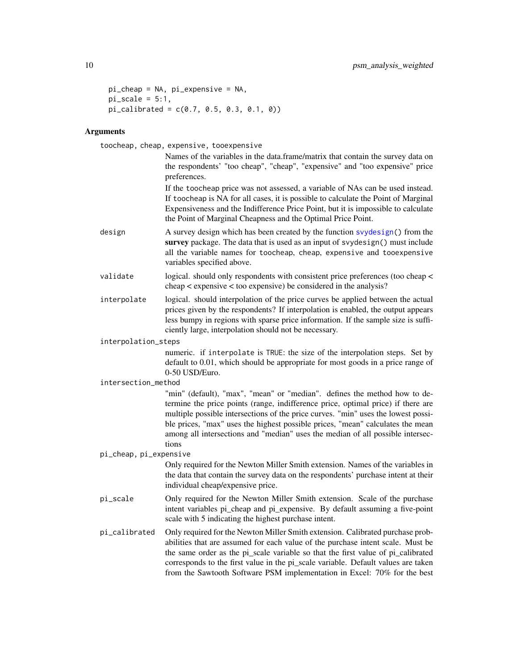```
pi_cheap = NA, pi_expensive = NA,
pi\_scale = 5:1,
pi_{calibated} = c(0.7, 0.5, 0.3, 0.1, 0)
```
# Arguments

toocheap, cheap, expensive, tooexpensive

Names of the variables in the data.frame/matrix that contain the survey data on the respondents' "too cheap", "cheap", "expensive" and "too expensive" price preferences.

If the toocheap price was not assessed, a variable of NAs can be used instead. If toocheap is NA for all cases, it is possible to calculate the Point of Marginal Expensiveness and the Indifference Price Point, but it is impossible to calculate the Point of Marginal Cheapness and the Optimal Price Point.

- design A survey design which has been created by the function [svydesign\(](#page-0-0)) from the survey package. The data that is used as an input of svydesign() must include all the variable names for toocheap, cheap, expensive and tooexpensive variables specified above.
- validate logical. should only respondents with consistent price preferences (too cheap < cheap < expensive < too expensive) be considered in the analysis?
- interpolate logical. should interpolation of the price curves be applied between the actual prices given by the respondents? If interpolation is enabled, the output appears less bumpy in regions with sparse price information. If the sample size is sufficiently large, interpolation should not be necessary.

interpolation\_steps

numeric. if interpolate is TRUE: the size of the interpolation steps. Set by default to 0.01, which should be appropriate for most goods in a price range of 0-50 USD/Euro.

#### intersection\_method

"min" (default), "max", "mean" or "median". defines the method how to determine the price points (range, indifference price, optimal price) if there are multiple possible intersections of the price curves. "min" uses the lowest possible prices, "max" uses the highest possible prices, "mean" calculates the mean among all intersections and "median" uses the median of all possible intersections

#### pi\_cheap, pi\_expensive

Only required for the Newton Miller Smith extension. Names of the variables in the data that contain the survey data on the respondents' purchase intent at their individual cheap/expensive price.

- pi\_scale Only required for the Newton Miller Smith extension. Scale of the purchase intent variables pi cheap and pi expensive. By default assuming a five-point scale with 5 indicating the highest purchase intent.
- pi\_calibrated Only required for the Newton Miller Smith extension. Calibrated purchase probabilities that are assumed for each value of the purchase intent scale. Must be the same order as the pi\_scale variable so that the first value of pi\_calibrated corresponds to the first value in the pi\_scale variable. Default values are taken from the Sawtooth Software PSM implementation in Excel: 70% for the best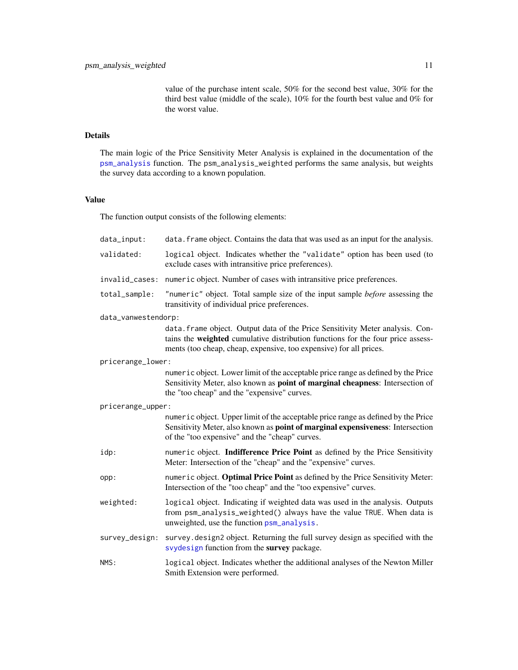value of the purchase intent scale, 50% for the second best value, 30% for the third best value (middle of the scale), 10% for the fourth best value and 0% for the worst value.

# <span id="page-10-0"></span>Details

The main logic of the Price Sensitivity Meter Analysis is explained in the documentation of the [psm\\_analysis](#page-3-1) function. The psm\_analysis\_weighted performs the same analysis, but weights the survey data according to a known population.

# Value

The function output consists of the following elements:

| $data$ _input:      | data. frame object. Contains the data that was used as an input for the analysis.                                                                                                                                                      |
|---------------------|----------------------------------------------------------------------------------------------------------------------------------------------------------------------------------------------------------------------------------------|
| validated:          | logical object. Indicates whether the "validate" option has been used (to<br>exclude cases with intransitive price preferences).                                                                                                       |
| invalid_cases:      | numeric object. Number of cases with intransitive price preferences.                                                                                                                                                                   |
| total_sample:       | "numeric" object. Total sample size of the input sample <i>before</i> assessing the<br>transitivity of individual price preferences.                                                                                                   |
| data_vanwestendorp: |                                                                                                                                                                                                                                        |
|                     | data. frame object. Output data of the Price Sensitivity Meter analysis. Con-<br>tains the weighted cumulative distribution functions for the four price assess-<br>ments (too cheap, cheap, expensive, too expensive) for all prices. |
| pricerange_lower:   |                                                                                                                                                                                                                                        |
|                     | numeric object. Lower limit of the acceptable price range as defined by the Price<br>Sensitivity Meter, also known as <b>point of marginal cheapness</b> : Intersection of<br>the "too cheap" and the "expensive" curves.              |
| pricerange_upper:   |                                                                                                                                                                                                                                        |
|                     | numeric object. Upper limit of the acceptable price range as defined by the Price<br>Sensitivity Meter, also known as point of marginal expensiveness: Intersection<br>of the "too expensive" and the "cheap" curves.                  |
| idp:                | numeric object. Indifference Price Point as defined by the Price Sensitivity<br>Meter: Intersection of the "cheap" and the "expensive" curves.                                                                                         |
| opp:                | numeric object. Optimal Price Point as defined by the Price Sensitivity Meter:<br>Intersection of the "too cheap" and the "too expensive" curves.                                                                                      |
| weighted:           | logical object. Indicating if weighted data was used in the analysis. Outputs<br>from psm_analysis_weighted() always have the value TRUE. When data is<br>unweighted, use the function psm_analysis.                                   |
| survey_design:      | survey.design2 object. Returning the full survey design as specified with the<br>svydesign function from the survey package.                                                                                                           |
| NMS:                | logical object. Indicates whether the additional analyses of the Newton Miller<br>Smith Extension were performed.                                                                                                                      |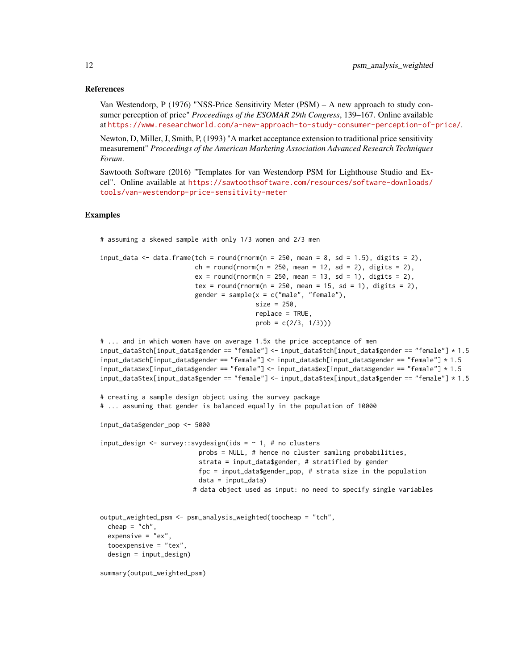Van Westendorp, P (1976) "NSS-Price Sensitivity Meter (PSM) – A new approach to study consumer perception of price" *Proceedings of the ESOMAR 29th Congress*, 139–167. Online available at <https://www.researchworld.com/a-new-approach-to-study-consumer-perception-of-price/>.

Newton, D, Miller, J, Smith, P, (1993) "A market acceptance extension to traditional price sensitivity measurement" *Proceedings of the American Marketing Association Advanced Research Techniques Forum*.

Sawtooth Software (2016) "Templates for van Westendorp PSM for Lighthouse Studio and Excel". Online available at [https://sawtoothsoftware.com/resources/software-downloads/](https://sawtoothsoftware.com/resources/software-downloads/tools/van-westendorp-price-sensitivity-meter) [tools/van-westendorp-price-sensitivity-meter](https://sawtoothsoftware.com/resources/software-downloads/tools/van-westendorp-price-sensitivity-meter)

# Examples

# assuming a skewed sample with only 1/3 women and 2/3 men

```
input_data <- data.frame(tch = round(rnorm(n = 250, mean = 8, sd = 1.5), digits = 2),
                        ch = round(rnorm(n = 250, mean = 12, sd = 2), digits = 2),
                        ex = round(rnorm(n = 250, mean = 13, sd = 1), digits = 2),tex = round(rnorm(n = 250, mean = 15, sd = 1), digits = 2),
                        gender = sample(x = c("male", "female"),size = 250,
                                        replace = TRUE,
                                        prob = c(2/3, 1/3))
```
# ... and in which women have on average 1.5x the price acceptance of men input\_data\$tch[input\_data\$gender == "female"] <- input\_data\$tch[input\_data\$gender == "female"] \* 1.5 input\_data\$ch[input\_data\$gender == "female"] <- input\_data\$ch[input\_data\$gender == "female"] \* 1.5 input\_data\$ex[input\_data\$gender == "female"] <- input\_data\$ex[input\_data\$gender == "female"] \* 1.5 input\_data\$tex[input\_data\$gender == "female"] <- input\_data\$tex[input\_data\$gender == "female"] \* 1.5

```
# creating a sample design object using the survey package
# ... assuming that gender is balanced equally in the population of 10000
```

```
input_data$gender_pop <- 5000
```
 $input\_design \leftarrow survey::svydesign(ids = ~ 1, # no clusters$ probs = NULL, # hence no cluster samling probabilities, strata = input\_data\$gender, # stratified by gender fpc = input\_data\$gender\_pop, # strata size in the population data = input\_data) # data object used as input: no need to specify single variables

```
output_weighted_psm <- psm_analysis_weighted(toocheap = "tch",
 cheap = "ch",expensive = "ex",tooexpensive = "tex",
 design = input_design)
```
summary(output\_weighted\_psm)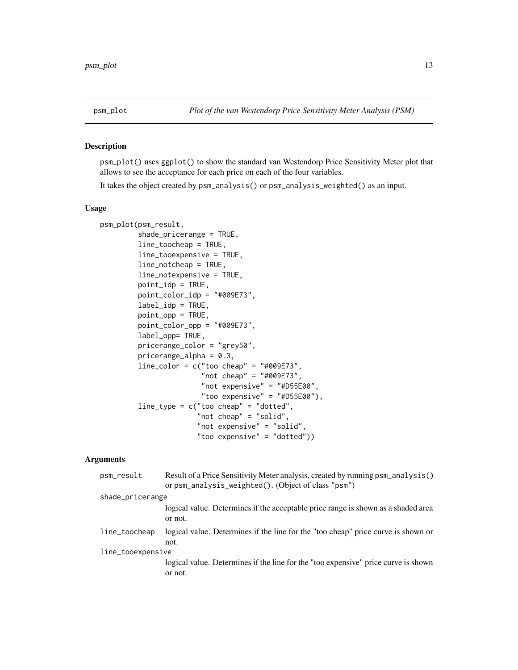<span id="page-12-0"></span>

#### Description

psm\_plot() uses ggplot() to show the standard van Westendorp Price Sensitivity Meter plot that allows to see the acceptance for each price on each of the four variables.

It takes the object created by psm\_analysis() or psm\_analysis\_weighted() as an input.

# Usage

```
psm_plot(psm_result,
         shade_pricerange = TRUE,
         line_toocheap = TRUE,
         line_tooexpensive = TRUE,
         line_notcheap = TRUE,
         line_notexpensive = TRUE,
         point_idp = TRUE,
         point_color_idp = "#009E73",
         label_idp = TRUE,point_opp = TRUE,
         point_color_opp = "#009E73",
         label_opp= TRUE,
         pricerange_color = "grey50",
         pricerange_alpha = 0.3,
         line\_color = c("too cheap" = "#009E73","not cheap" = "#009E73",
                        "not expensive" = "#D55E00",
                        "too expensive" = "#D55E00"),
         line_type = c("too cheap" = "dotted",
                       "not cheap" = "solid",
                       "not expensive" = "solid",
                       "too expensive" = "dotted"))
```
#### **Arguments**

| Result of a Price Sensitivity Meter analysis, created by running psm_analysis()<br>or psm_analysis_weighted(). (Object of class "psm") |
|----------------------------------------------------------------------------------------------------------------------------------------|
| shade_pricerange                                                                                                                       |
| logical value. Determines if the acceptable price range is shown as a shaded area<br>or not.                                           |
| logical value. Determines if the line for the "too cheap" price curve is shown or<br>not.                                              |
| line_tooexpensive                                                                                                                      |
| logical value. Determines if the line for the "too expensive" price curve is shown<br>or not.                                          |
|                                                                                                                                        |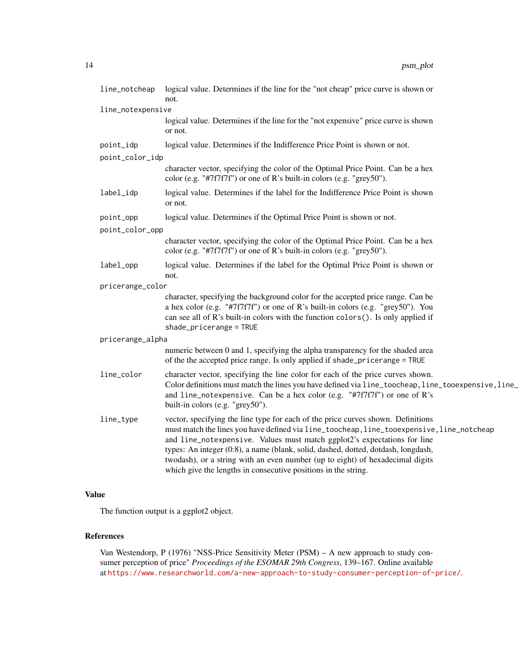| line_notcheap     | logical value. Determines if the line for the "not cheap" price curve is shown or<br>not.                                                                                                                                                                                                                                                                                                                                                                                                         |
|-------------------|---------------------------------------------------------------------------------------------------------------------------------------------------------------------------------------------------------------------------------------------------------------------------------------------------------------------------------------------------------------------------------------------------------------------------------------------------------------------------------------------------|
| line_notexpensive |                                                                                                                                                                                                                                                                                                                                                                                                                                                                                                   |
|                   | logical value. Determines if the line for the "not expensive" price curve is shown<br>or not.                                                                                                                                                                                                                                                                                                                                                                                                     |
| point_idp         | logical value. Determines if the Indifference Price Point is shown or not.                                                                                                                                                                                                                                                                                                                                                                                                                        |
| point_color_idp   |                                                                                                                                                                                                                                                                                                                                                                                                                                                                                                   |
|                   | character vector, specifying the color of the Optimal Price Point. Can be a hex<br>color (e.g. "#7f7f7f") or one of R's built-in colors (e.g. "grey50").                                                                                                                                                                                                                                                                                                                                          |
| label_idp         | logical value. Determines if the label for the Indifference Price Point is shown<br>or not.                                                                                                                                                                                                                                                                                                                                                                                                       |
| point_opp         | logical value. Determines if the Optimal Price Point is shown or not.                                                                                                                                                                                                                                                                                                                                                                                                                             |
| point_color_opp   |                                                                                                                                                                                                                                                                                                                                                                                                                                                                                                   |
|                   | character vector, specifying the color of the Optimal Price Point. Can be a hex<br>color (e.g. "#7f7f7f") or one of R's built-in colors (e.g. "grey50").                                                                                                                                                                                                                                                                                                                                          |
| label_opp         | logical value. Determines if the label for the Optimal Price Point is shown or<br>not.                                                                                                                                                                                                                                                                                                                                                                                                            |
| pricerange_color  |                                                                                                                                                                                                                                                                                                                                                                                                                                                                                                   |
|                   | character, specifying the background color for the accepted price range. Can be<br>a hex color (e.g. "#7f7f7f") or one of R's built-in colors (e.g. "grey50"). You<br>can see all of R's built-in colors with the function colors (). Is only applied if<br>$shade\_pricerange = TRUE$                                                                                                                                                                                                            |
| pricerange_alpha  |                                                                                                                                                                                                                                                                                                                                                                                                                                                                                                   |
|                   | numeric between 0 and 1, specifying the alpha transparency for the shaded area<br>of the the accepted price range. Is only applied if shade_pricerange = TRUE                                                                                                                                                                                                                                                                                                                                     |
| line_color        | character vector, specifying the line color for each of the price curves shown.<br>Color definitions must match the lines you have defined via line_toocheap, line_tooexpensive, line_<br>and line_notexpensive. Can be a hex color (e.g. "#7f7f7f") or one of R's<br>built-in colors (e.g. "grey50").                                                                                                                                                                                            |
| line_type         | vector, specifying the line type for each of the price curves shown. Definitions<br>must match the lines you have defined via line_toocheap, line_tooexpensive, line_notcheap<br>and line_notexpensive. Values must match ggplot2's expectations for line<br>types: An integer (0:8), a name (blank, solid, dashed, dotted, dotdash, longdash,<br>twodash), or a string with an even number (up to eight) of hexadecimal digits<br>which give the lengths in consecutive positions in the string. |

# Value

The function output is a ggplot2 object.

# References

Van Westendorp, P (1976) "NSS-Price Sensitivity Meter (PSM) – A new approach to study consumer perception of price" *Proceedings of the ESOMAR 29th Congress*, 139–167. Online available at <https://www.researchworld.com/a-new-approach-to-study-consumer-perception-of-price/>.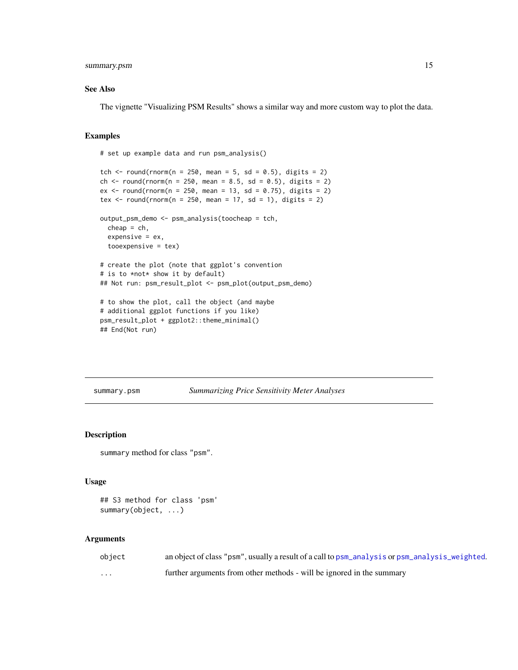# <span id="page-14-0"></span>summary.psm 15

#### See Also

The vignette "Visualizing PSM Results" shows a similar way and more custom way to plot the data.

#### Examples

```
# set up example data and run psm_analysis()
tch \le round(rnorm(n = 250, mean = 5, sd = 0.5), digits = 2)
ch <- round(rnorm(n = 250, mean = 8.5, sd = 0.5), digits = 2)
ex \le round(rnorm(n = 250, mean = 13, sd = 0.75), digits = 2)
tex \le round(rnorm(n = 250, mean = 17, sd = 1), digits = 2)
output_psm_demo <- psm_analysis(toocheap = tch,
  cheap = ch,
  expensive = ex,
  tooexpensive = tex)
# create the plot (note that ggplot's convention
# is to *not* show it by default)
## Not run: psm_result_plot <- psm_plot(output_psm_demo)
# to show the plot, call the object (and maybe
# additional ggplot functions if you like)
psm_result_plot + ggplot2::theme_minimal()
```
## End(Not run)

<span id="page-14-1"></span>summary.psm *Summarizing Price Sensitivity Meter Analyses*

# Description

summary method for class "psm".

#### Usage

```
## S3 method for class 'psm'
summary(object, ...)
```
# Arguments

| object  | an object of class "psm", usually a result of a call to psm_analysis or psm_analysis_weighted. |
|---------|------------------------------------------------------------------------------------------------|
| $\cdot$ | further arguments from other methods - will be ignored in the summary                          |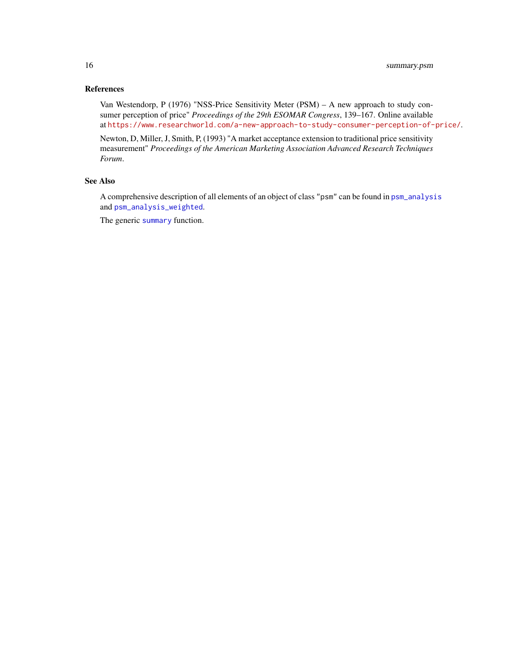<span id="page-15-0"></span>Van Westendorp, P (1976) "NSS-Price Sensitivity Meter (PSM) – A new approach to study consumer perception of price" *Proceedings of the 29th ESOMAR Congress*, 139–167. Online available at <https://www.researchworld.com/a-new-approach-to-study-consumer-perception-of-price/>.

Newton, D, Miller, J, Smith, P, (1993) "A market acceptance extension to traditional price sensitivity measurement" *Proceedings of the American Marketing Association Advanced Research Techniques Forum*.

# See Also

A comprehensive description of all elements of an object of class "psm" can be found in [psm\\_analysis](#page-3-1) and [psm\\_analysis\\_weighted](#page-8-1).

The generic [summary](#page-0-0) function.